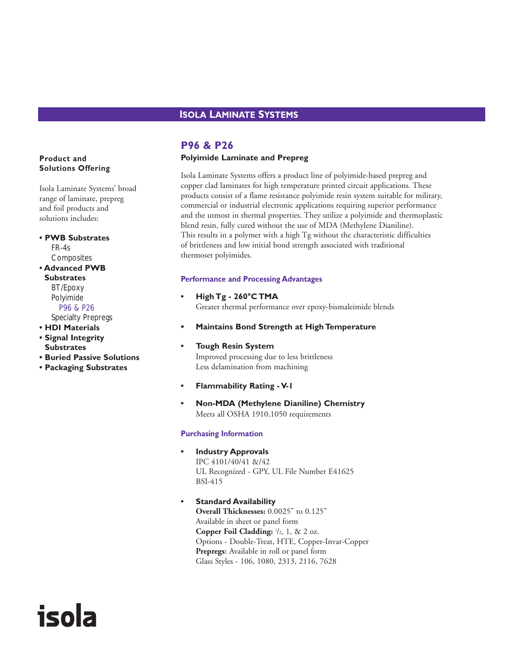## **ISOLA LAMINATE SYSTEMS**

# **P96 & P26**

#### **Polyimide Laminate and Prepreg**

Isola Laminate Systems offers a product line of polyimide-based prepreg and copper clad laminates for high temperature printed circuit applications. These products consist of a flame resistance polyimide resin system suitable for military, commercial or industrial electronic applications requiring superior performance and the utmost in thermal properties. They utilize a polyimide and thermoplastic blend resin, fully cured without the use of MDA (Methylene Dianiline). This results in a polymer with a high Tg without the characteristic difficulties of brittleness and low initial bond strength associated with traditional thermoset polyimides.

#### **Performance and Processing Advantages**

- **High Tg 260°C TMA** Greater thermal performance over epoxy-bismaleimide blends
- **• Maintains Bond Strength at High Temperature**

#### **• Tough Resin System** Improved processing due to less brittleness Less delamination from machining

- **Flammability Rating V-1**
- **Non-MDA (Methylene Dianiline) Chemistry** Meets all OSHA 1910.1050 requirements

#### **Purchasing Information**

**• Industry Approvals**

IPC 4101/40/41 &/42 UL Recognized - GPY, UL File Number E41625 BSI-415

#### **• Standard Availability**

**Overall Thicknesses:** 0.0025" to 0.125" Available in sheet or panel form **Copper Foil Cladding:**  $\frac{1}{2}$ , 1, & 2 oz. Options - Double-Treat, HTE, Copper-Invar-Copper **Prepregs:** Available in roll or panel form Glass Styles - 106, 1080, 2313, 2116, 7628

#### **Product and Solutions Offering**

Isola Laminate Systems' broad range of laminate, prepreg and foil products and solutions includes:

**• PWB Substrates** FR-4s **Composites • Advanced PWB Substrates**

### BT/Epoxy Polyimide P96 & P26 Specialty Prepregs

**• HDI Materials**

**• Signal Integrity Substrates**

isola

- **Buried Passive Solutions**
- **Packaging Substrates**